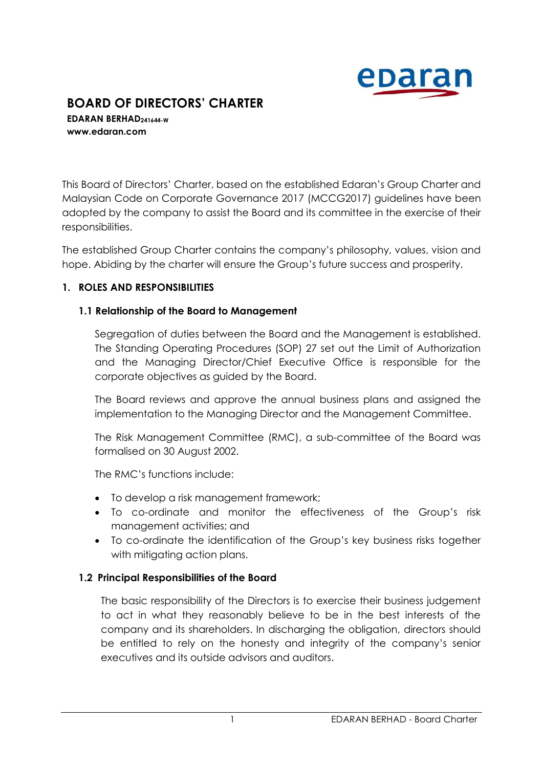

# **BOARD OF DIRECTORS' CHARTER**

**EDARAN BERHAD241644-W www.edaran.com**

This Board of Directors' Charter, based on the established Edaran's Group Charter and Malaysian Code on Corporate Governance 2017 (MCCG2017) guidelines have been adopted by the company to assist the Board and its committee in the exercise of their responsibilities.

The established Group Charter contains the company's philosophy, values, vision and hope. Abiding by the charter will ensure the Group's future success and prosperity.

#### **1. ROLES AND RESPONSIBILITIES**

#### **1.1 Relationship of the Board to Management**

Segregation of duties between the Board and the Management is established. The Standing Operating Procedures (SOP) 27 set out the Limit of Authorization and the Managing Director/Chief Executive Office is responsible for the corporate objectives as guided by the Board.

The Board reviews and approve the annual business plans and assigned the implementation to the Managing Director and the Management Committee.

The Risk Management Committee (RMC), a sub-committee of the Board was formalised on 30 August 2002.

The RMC's functions include:

- To develop a risk management framework;
- To co-ordinate and monitor the effectiveness of the Group's risk management activities; and
- To co-ordinate the identification of the Group's key business risks together with mitigating action plans.

#### **1.2 Principal Responsibilities of the Board**

The basic responsibility of the Directors is to exercise their business judgement to act in what they reasonably believe to be in the best interests of the company and its shareholders. In discharging the obligation, directors should be entitled to rely on the honesty and integrity of the company's senior executives and its outside advisors and auditors.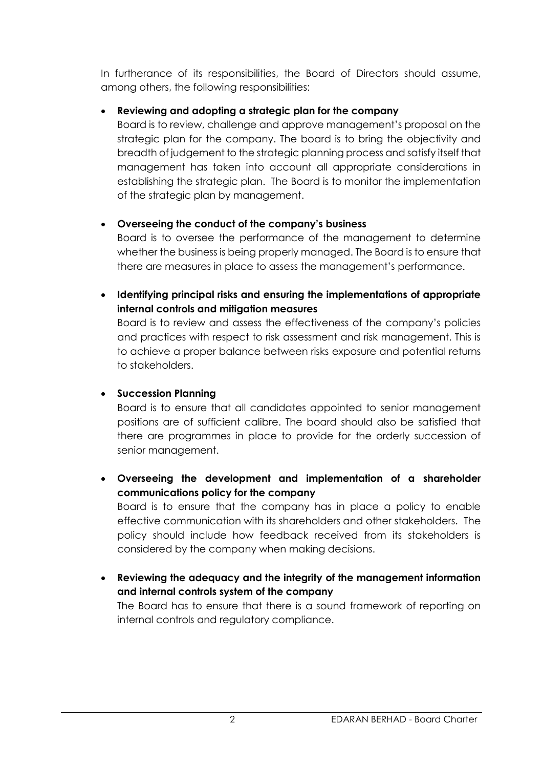In furtherance of its responsibilities, the Board of Directors should assume, among others, the following responsibilities:

# **Reviewing and adopting a strategic plan for the company**

Board is to review, challenge and approve management's proposal on the strategic plan for the company. The board is to bring the objectivity and breadth of judgement to the strategic planning process and satisfy itself that management has taken into account all appropriate considerations in establishing the strategic plan. The Board is to monitor the implementation of the strategic plan by management.

# **Overseeing the conduct of the company's business**

Board is to oversee the performance of the management to determine whether the business is being properly managed. The Board is to ensure that there are measures in place to assess the management's performance.

 **Identifying principal risks and ensuring the implementations of appropriate internal controls and mitigation measures**

Board is to review and assess the effectiveness of the company's policies and practices with respect to risk assessment and risk management. This is to achieve a proper balance between risks exposure and potential returns to stakeholders.

#### **Succession Planning**

Board is to ensure that all candidates appointed to senior management positions are of sufficient calibre. The board should also be satisfied that there are programmes in place to provide for the orderly succession of senior management.

 **Overseeing the development and implementation of a shareholder communications policy for the company** Board is to ensure that the company has in place a policy to enable

effective communication with its shareholders and other stakeholders. The policy should include how feedback received from its stakeholders is considered by the company when making decisions.

 **Reviewing the adequacy and the integrity of the management information and internal controls system of the company**

The Board has to ensure that there is a sound framework of reporting on internal controls and regulatory compliance.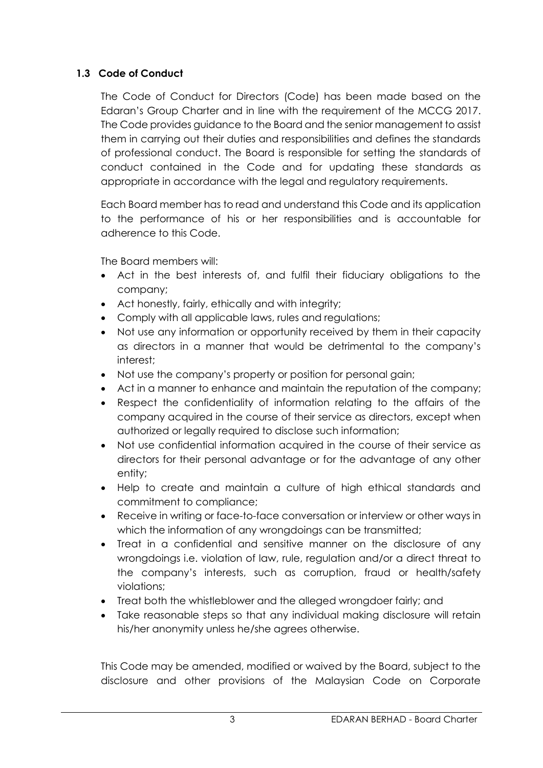# **1.3 Code of Conduct**

The Code of Conduct for Directors (Code) has been made based on the Edaran's Group Charter and in line with the requirement of the MCCG 2017. The Code provides guidance to the Board and the senior management to assist them in carrying out their duties and responsibilities and defines the standards of professional conduct. The Board is responsible for setting the standards of conduct contained in the Code and for updating these standards as appropriate in accordance with the legal and regulatory requirements.

Each Board member has to read and understand this Code and its application to the performance of his or her responsibilities and is accountable for adherence to this Code.

The Board members will:

- Act in the best interests of, and fulfil their fiduciary obligations to the company;
- Act honestly, fairly, ethically and with integrity;
- Comply with all applicable laws, rules and regulations;
- Not use any information or opportunity received by them in their capacity as directors in a manner that would be detrimental to the company's interest;
- Not use the company's property or position for personal gain;
- Act in a manner to enhance and maintain the reputation of the company;
- Respect the confidentiality of information relating to the affairs of the company acquired in the course of their service as directors, except when authorized or legally required to disclose such information;
- Not use confidential information acquired in the course of their service as directors for their personal advantage or for the advantage of any other entity;
- Help to create and maintain a culture of high ethical standards and commitment to compliance;
- Receive in writing or face-to-face conversation or interview or other ways in which the information of any wrongdoings can be transmitted;
- Treat in a confidential and sensitive manner on the disclosure of any wrongdoings i.e. violation of law, rule, regulation and/or a direct threat to the company's interests, such as corruption, fraud or health/safety violations;
- Treat both the whistleblower and the alleged wrongdoer fairly; and
- Take reasonable steps so that any individual making disclosure will retain his/her anonymity unless he/she agrees otherwise.

This Code may be amended, modified or waived by the Board, subject to the disclosure and other provisions of the Malaysian Code on Corporate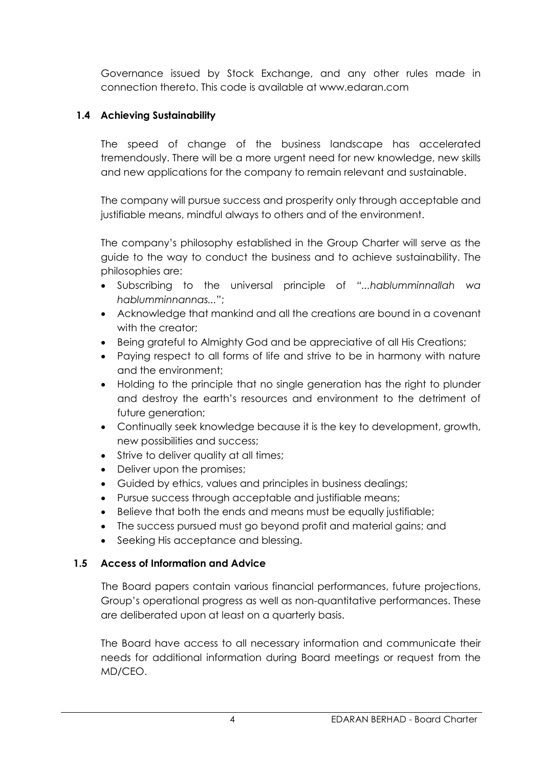Governance issued by Stock Exchange, and any other rules made in connection thereto. This code is available at www.edaran.com

# **1.4 Achieving Sustainability**

The speed of change of the business landscape has accelerated tremendously. There will be a more urgent need for new knowledge, new skills and new applications for the company to remain relevant and sustainable.

The company will pursue success and prosperity only through acceptable and justifiable means, mindful always to others and of the environment.

The company's philosophy established in the Group Charter will serve as the guide to the way to conduct the business and to achieve sustainability. The philosophies are:

- Subscribing to the universal principle of *"...hablumminnallah wa hablumminnannas...*";
- Acknowledge that mankind and all the creations are bound in a covenant with the creator:
- Being grateful to Almighty God and be appreciative of all His Creations;
- Paying respect to all forms of life and strive to be in harmony with nature and the environment;
- Holding to the principle that no single generation has the right to plunder and destroy the earth's resources and environment to the detriment of future generation;
- Continually seek knowledge because it is the key to development, growth, new possibilities and success;
- Strive to deliver quality at all times;
- Deliver upon the promises;
- Guided by ethics, values and principles in business dealings;
- Pursue success through acceptable and justifiable means;
- Believe that both the ends and means must be equally justifiable;
- The success pursued must go beyond profit and material gains; and
- Seeking His acceptance and blessing.

#### **1.5 Access of Information and Advice**

The Board papers contain various financial performances, future projections, Group's operational progress as well as non-quantitative performances. These are deliberated upon at least on a quarterly basis.

The Board have access to all necessary information and communicate their needs for additional information during Board meetings or request from the MD/CEO.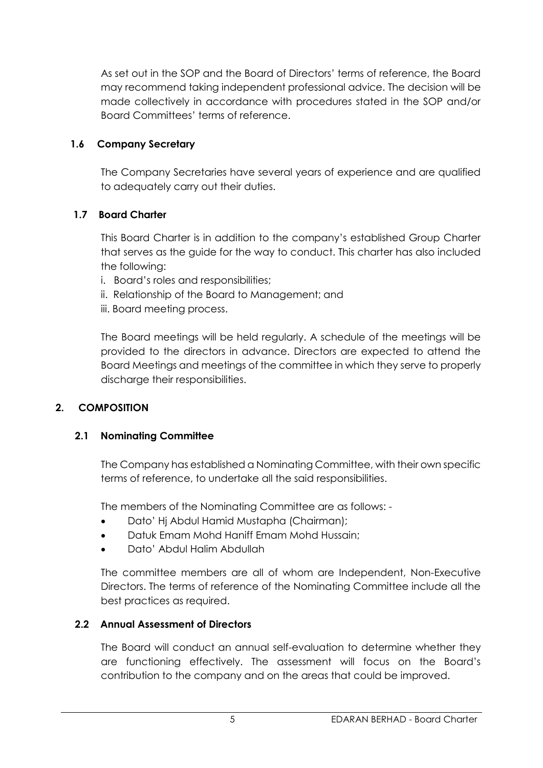As set out in the SOP and the Board of Directors' terms of reference, the Board may recommend taking independent professional advice. The decision will be made collectively in accordance with procedures stated in the SOP and/or Board Committees' terms of reference.

# **1.6 Company Secretary**

The Company Secretaries have several years of experience and are qualified to adequately carry out their duties.

# **1.7 Board Charter**

This Board Charter is in addition to the company's established Group Charter that serves as the guide for the way to conduct. This charter has also included the following:

- i. Board's roles and responsibilities;
- ii. Relationship of the Board to Management; and
- iii. Board meeting process.

The Board meetings will be held regularly. A schedule of the meetings will be provided to the directors in advance. Directors are expected to attend the Board Meetings and meetings of the committee in which they serve to properly discharge their responsibilities.

# **2. COMPOSITION**

# **2.1 Nominating Committee**

The Company has established a Nominating Committee, with their own specific terms of reference, to undertake all the said responsibilities.

The members of the Nominating Committee are as follows: -

- Dato' Hj Abdul Hamid Mustapha (Chairman);
- Datuk Emam Mohd Haniff Emam Mohd Hussain;
- Dato' Abdul Halim Abdullah

The committee members are all of whom are Independent, Non-Executive Directors. The terms of reference of the Nominating Committee include all the best practices as required.

#### **2.2 Annual Assessment of Directors**

The Board will conduct an annual self-evaluation to determine whether they are functioning effectively. The assessment will focus on the Board's contribution to the company and on the areas that could be improved.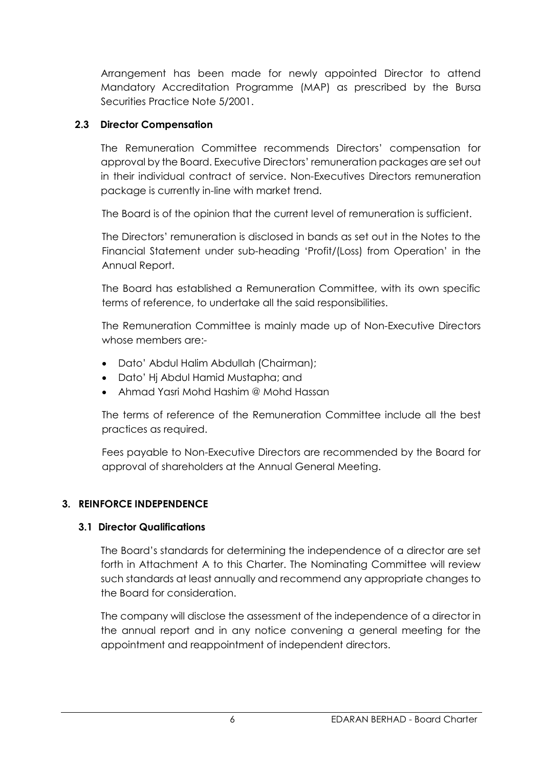Arrangement has been made for newly appointed Director to attend Mandatory Accreditation Programme (MAP) as prescribed by the Bursa Securities Practice Note 5/2001.

# **2.3 Director Compensation**

The Remuneration Committee recommends Directors' compensation for approval by the Board. Executive Directors' remuneration packages are set out in their individual contract of service. Non-Executives Directors remuneration package is currently in-line with market trend.

The Board is of the opinion that the current level of remuneration is sufficient.

The Directors' remuneration is disclosed in bands as set out in the Notes to the Financial Statement under sub-heading 'Profit/(Loss) from Operation' in the Annual Report.

The Board has established a Remuneration Committee, with its own specific terms of reference, to undertake all the said responsibilities.

The Remuneration Committee is mainly made up of Non-Executive Directors whose members are:-

- Dato' Abdul Halim Abdullah (Chairman);
- Dato' Hj Abdul Hamid Mustapha; and
- Ahmad Yasri Mohd Hashim @ Mohd Hassan

The terms of reference of the Remuneration Committee include all the best practices as required.

Fees payable to Non-Executive Directors are recommended by the Board for approval of shareholders at the Annual General Meeting.

# **3. REINFORCE INDEPENDENCE**

# **3.1 Director Qualifications**

The Board's standards for determining the independence of a director are set forth in Attachment A to this Charter. The Nominating Committee will review such standards at least annually and recommend any appropriate changes to the Board for consideration.

The company will disclose the assessment of the independence of a director in the annual report and in any notice convening a general meeting for the appointment and reappointment of independent directors.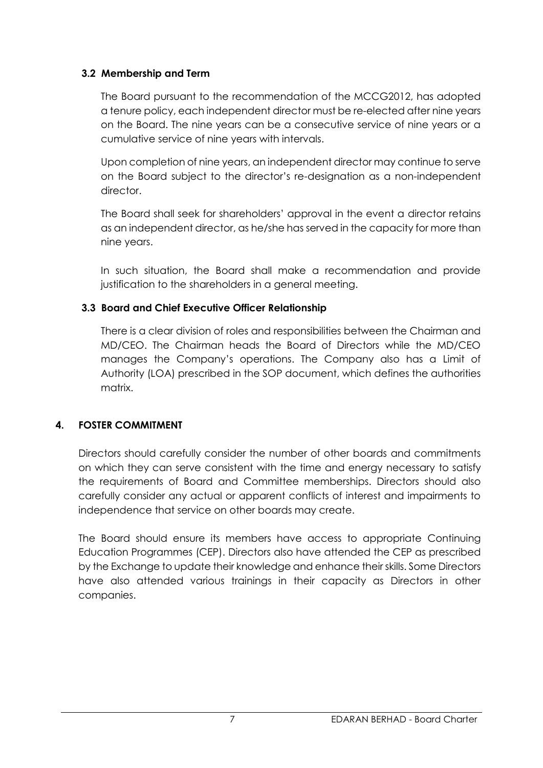## **3.2 Membership and Term**

The Board pursuant to the recommendation of the MCCG2012, has adopted a tenure policy, each independent director must be re-elected after nine years on the Board. The nine years can be a consecutive service of nine years or a cumulative service of nine years with intervals.

Upon completion of nine years, an independent director may continue to serve on the Board subject to the director's re-designation as a non-independent director.

The Board shall seek for shareholders' approval in the event a director retains as an independent director, as he/she has served in the capacity for more than nine years.

In such situation, the Board shall make a recommendation and provide justification to the shareholders in a general meeting.

# **3.3 Board and Chief Executive Officer Relationship**

There is a clear division of roles and responsibilities between the Chairman and MD/CEO. The Chairman heads the Board of Directors while the MD/CEO manages the Company's operations. The Company also has a Limit of Authority (LOA) prescribed in the SOP document, which defines the authorities matrix.

# **4. FOSTER COMMITMENT**

Directors should carefully consider the number of other boards and commitments on which they can serve consistent with the time and energy necessary to satisfy the requirements of Board and Committee memberships. Directors should also carefully consider any actual or apparent conflicts of interest and impairments to independence that service on other boards may create.

The Board should ensure its members have access to appropriate Continuing Education Programmes (CEP). Directors also have attended the CEP as prescribed by the Exchange to update their knowledge and enhance their skills. Some Directors have also attended various trainings in their capacity as Directors in other companies.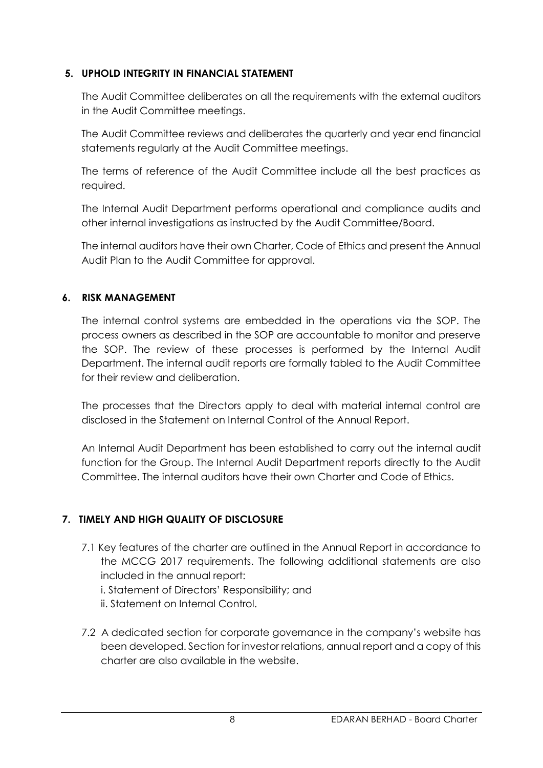## **5. UPHOLD INTEGRITY IN FINANCIAL STATEMENT**

The Audit Committee deliberates on all the requirements with the external auditors in the Audit Committee meetings.

The Audit Committee reviews and deliberates the quarterly and year end financial statements regularly at the Audit Committee meetings.

The terms of reference of the Audit Committee include all the best practices as required.

The Internal Audit Department performs operational and compliance audits and other internal investigations as instructed by the Audit Committee/Board.

The internal auditors have their own Charter, Code of Ethics and present the Annual Audit Plan to the Audit Committee for approval.

#### **6. RISK MANAGEMENT**

The internal control systems are embedded in the operations via the SOP. The process owners as described in the SOP are accountable to monitor and preserve the SOP. The review of these processes is performed by the Internal Audit Department. The internal audit reports are formally tabled to the Audit Committee for their review and deliberation.

The processes that the Directors apply to deal with material internal control are disclosed in the Statement on Internal Control of the Annual Report.

An Internal Audit Department has been established to carry out the internal audit function for the Group. The Internal Audit Department reports directly to the Audit Committee. The internal auditors have their own Charter and Code of Ethics.

# **7. TIMELY AND HIGH QUALITY OF DISCLOSURE**

- 7.1 Key features of the charter are outlined in the Annual Report in accordance to the MCCG 2017 requirements. The following additional statements are also included in the annual report:
	- i. Statement of Directors' Responsibility; and
	- ii. Statement on Internal Control.
- 7.2 A dedicated section for corporate governance in the company's website has been developed. Section for investor relations, annual report and a copy of this charter are also available in the website.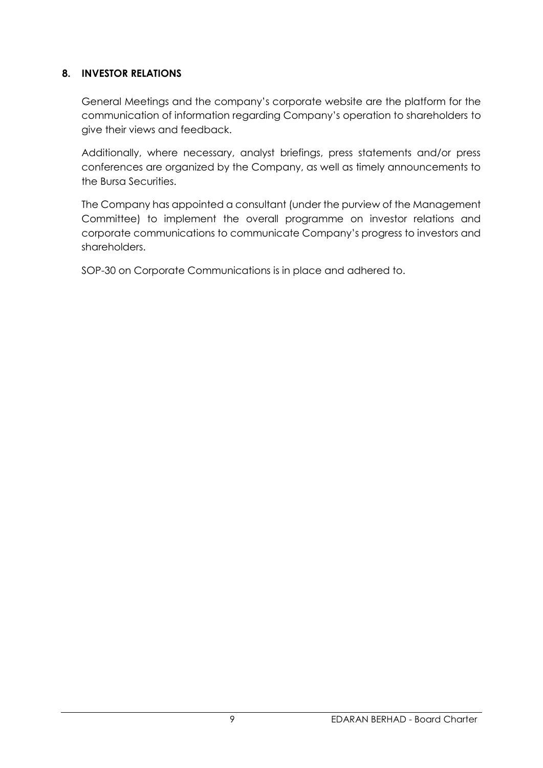## **8. INVESTOR RELATIONS**

General Meetings and the company's corporate website are the platform for the communication of information regarding Company's operation to shareholders to give their views and feedback.

Additionally, where necessary, analyst briefings, press statements and/or press conferences are organized by the Company, as well as timely announcements to the Bursa Securities.

The Company has appointed a consultant (under the purview of the Management Committee) to implement the overall programme on investor relations and corporate communications to communicate Company's progress to investors and shareholders.

SOP-30 on Corporate Communications is in place and adhered to.